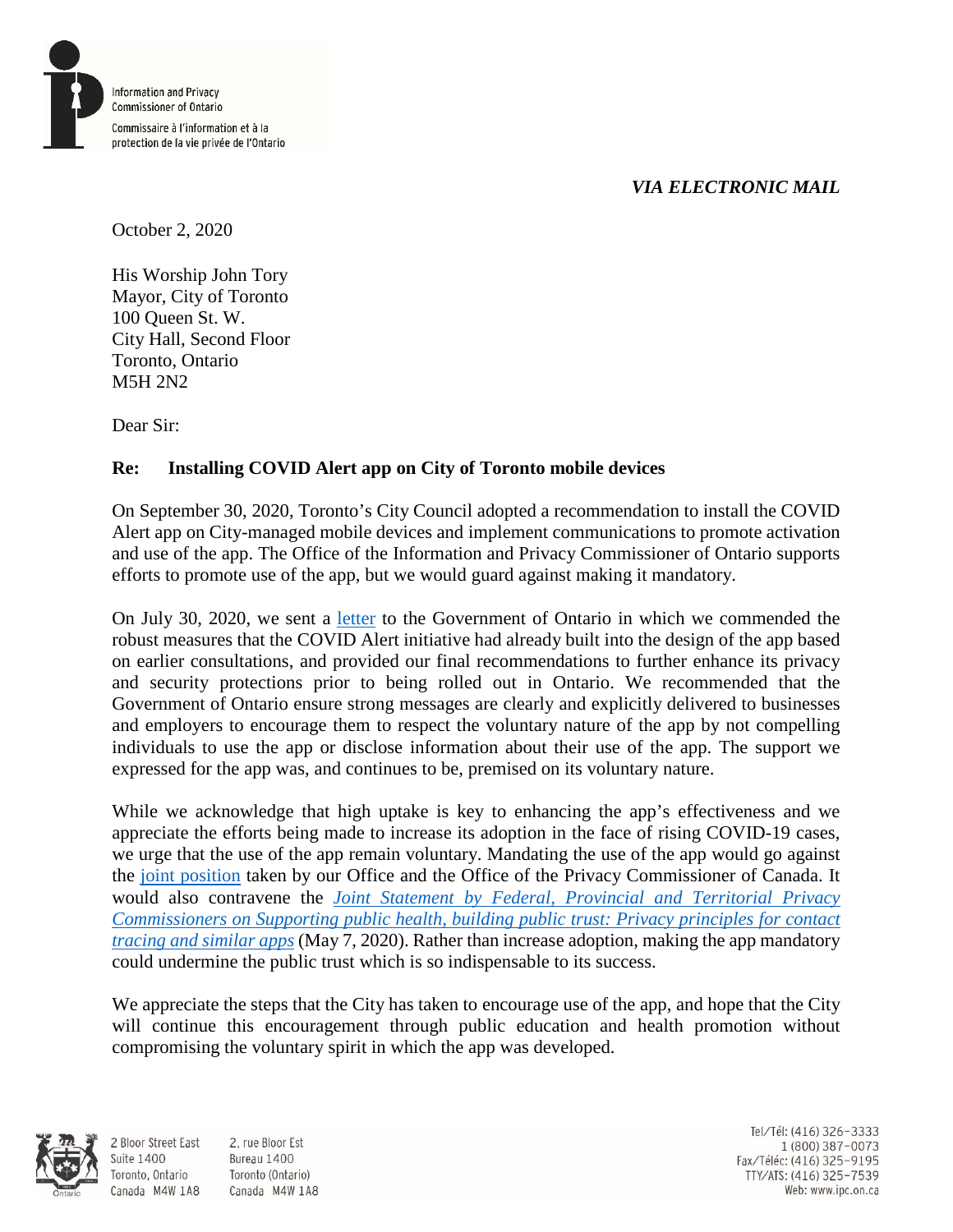

## *VIA ELECTRONIC MAIL*

October 2, 2020

His Worship John Tory Mayor, City of Toronto 100 Queen St. W. City Hall, Second Floor Toronto, Ontario M5H 2N2

Dear Sir:

## **Re: Installing COVID Alert app on City of Toronto mobile devices**

On September 30, 2020, Toronto's City Council adopted a recommendation to install the COVID Alert app on City-managed mobile devices and implement communications to promote activation and use of the app. The Office of the Information and Privacy Commissioner of Ontario supports efforts to promote use of the app, but we would guard against making it mandatory.

On July 30, 2020, we sent a [letter](https://www.ipc.on.ca/wp-content/uploads/2020/07/2020-07-30-ltr-michael-maddock-re-ipc-recommendations-to-the-government-of-ontario-regarding-covid-alert.pdf) to the Government of Ontario in which we commended the robust measures that the COVID Alert initiative had already built into the design of the app based on earlier consultations, and provided our final recommendations to further enhance its privacy and security protections prior to being rolled out in Ontario. We recommended that the Government of Ontario ensure strong messages are clearly and explicitly delivered to businesses and employers to encourage them to respect the voluntary nature of the app by not compelling individuals to use the app or disclose information about their use of the app. The support we expressed for the app was, and continues to be, premised on its voluntary nature.

While we acknowledge that high uptake is key to enhancing the app's effectiveness and we appreciate the efforts being made to increase its adoption in the face of rising COVID-19 cases, we urge that the use of the app remain voluntary. Mandating the use of the app would go against the [joint position](https://www.priv.gc.ca/en/opc-news/news-and-announcements/2020/nr-c_200731/) taken by our Office and the Office of the Privacy Commissioner of Canada. It would also contravene the *[Joint Statement by Federal, Provincial and Territorial Privacy](https://www.ipc.on.ca/newsrelease/supporting-public-health-building-public-trust-privacy-principles-for-contact-tracing-and-similar-apps/)  [Commissioners on Supporting public health, building public trust: Privacy principles for contact](https://www.ipc.on.ca/newsrelease/supporting-public-health-building-public-trust-privacy-principles-for-contact-tracing-and-similar-apps/)  [tracing and similar apps](https://www.ipc.on.ca/newsrelease/supporting-public-health-building-public-trust-privacy-principles-for-contact-tracing-and-similar-apps/)* (May 7, 2020). Rather than increase adoption, making the app mandatory could undermine the public trust which is so indispensable to its success.

We appreciate the steps that the City has taken to encourage use of the app, and hope that the City will continue this encouragement through public education and health promotion without compromising the voluntary spirit in which the app was developed.



**Suite 1400** 

2 Bloor Street East 2. rue Bloor Est Bureau 1400 Toronto, Ontario Toronto (Ontario) Canada M4W 1A8 Canada M4W 1A8

Tel/Tél: (416) 326-3333 1 (800) 387-0073 Fax/Téléc: (416) 325-9195 TTY/ATS: (416) 325-7539<br>Web: www.ipc.on.ca